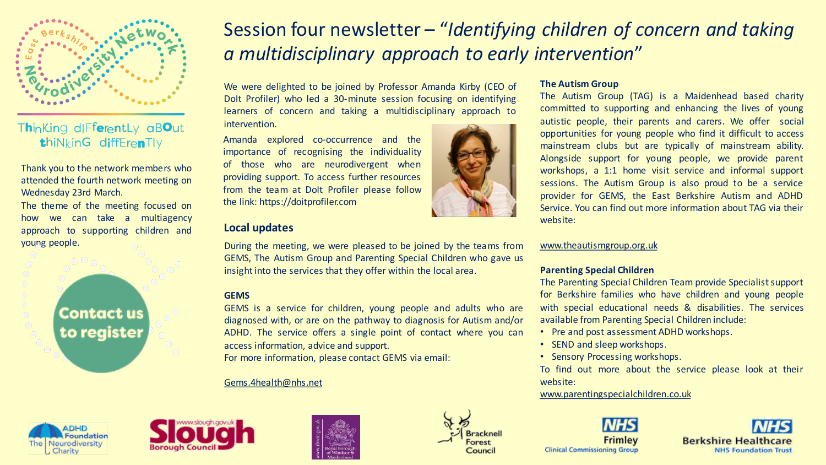

## Thinking differently aBOut thiNkinG diffErenTly

Thank you to the network members who attended the fourth network meeting on Wednesday 23rd March.

The theme of the meeting focused on how we can take a multiagency approach to supporting children and young people.

> Contact us to register

# Session four newsletter – "*Identifying children of concern and taking a multidisciplinary approach to early intervention*"

We were delighted to be joined by Professor Amanda Kirby (CEO of DoIt Profiler) who led a 30-minute session focusing on identifying learners of concern and taking a multidisciplinary approach to intervention.

Amanda explored co-occurrence and the importance of recognising the individuality of those who are neurodivergent when providing support. To access further resources from the team at DoIt Profiler please follow the link: https://doitprofiler.com

## **Local updates**

During the meeting, we were pleased to be joined by the teams from GEMS, The Autism Group and Parenting Special Children who gave us insight into the services that they offer within the local area.

### **GEMS**

GEMS is a service for children, young people and adults who are diagnosed with, or are on the pathway to diagnosis for Autism and/or ADHD. The service offers a single point of contact where you can access information, advice and support.

For more information, please contact GEMS via email:

#### [Gems.4health@nhs.net](mailto:•Gems.4health@nhs.net)



#### **The Autism Group**

The Autism Group (TAG) is a Maidenhead based charity committed to supporting and enhancing the lives of young autistic people, their parents and carers. We offer social opportunities for young people who find it difficult to access mainstream clubs but are typically of mainstream ability. Alongside support for young people, we provide parent workshops, a 1:1 home visit service and informal support sessions. The Autism Group is also proud to be a service provider for GEMS, the East Berkshire Autism and ADHD Service. You can find out more information about TAG via their website:

[www.theautismgroup.org.uk](http://www.theautismgroup.org.uk/)

#### **Parenting Special Children**

The Parenting Special Children Team provide Specialist support for Berkshire families who have children and young people with special educational needs & disabilities. The services available from Parenting Special Children include:

- Pre and post assessment ADHD workshops.
- SEND and sleep workshops.
- Sensory Processing workshops.

To find out more about the service please look at their website:

[www.parentingspecialchildren.co.uk](https://www.parentingspecialchildren.co.uk/support-we-offer/neurodiversity-conference/)









Frimley **Clinical Commissioning Group**